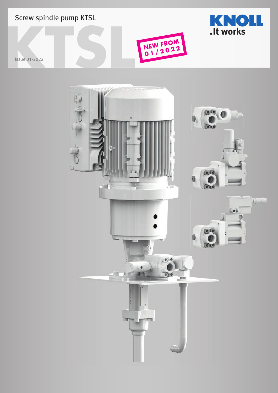

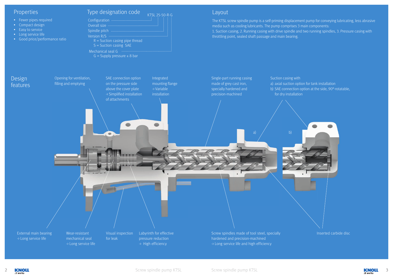

EXPOLL Screw spindle pump KTSL Screw spindle pump KTSL Screw spindle pump KTSL Screw spindle pump KTSL Screw spindle pump KTSL 3